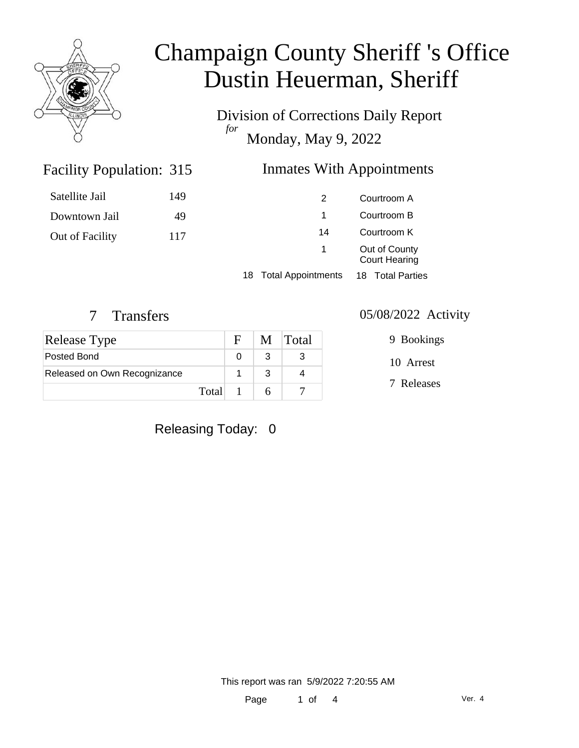

Division of Corrections Daily Report *for* Monday, May 9, 2022

#### Inmates With Appointments

| Satellite Jail  | 149 | 2                     | Courtroom A                           |  |
|-----------------|-----|-----------------------|---------------------------------------|--|
| Downtown Jail   | 49  |                       | Courtroom B                           |  |
| Out of Facility | 117 | 14                    | Courtroom K                           |  |
|                 |     | $\mathbf{1}$          | Out of County<br><b>Court Hearing</b> |  |
|                 |     | 18 Total Appointments | 18 Total Parties                      |  |

#### 7 Transfers 05/08/2022 Activity

Facility Population: 315

| <b>Release Type</b>          |         | F | M Total |
|------------------------------|---------|---|---------|
| Posted Bond                  |         |   |         |
| Released on Own Recognizance |         |   |         |
|                              | Total 1 |   |         |

10 Arrest 9 Bookings

7 Releases

#### Releasing Today: 0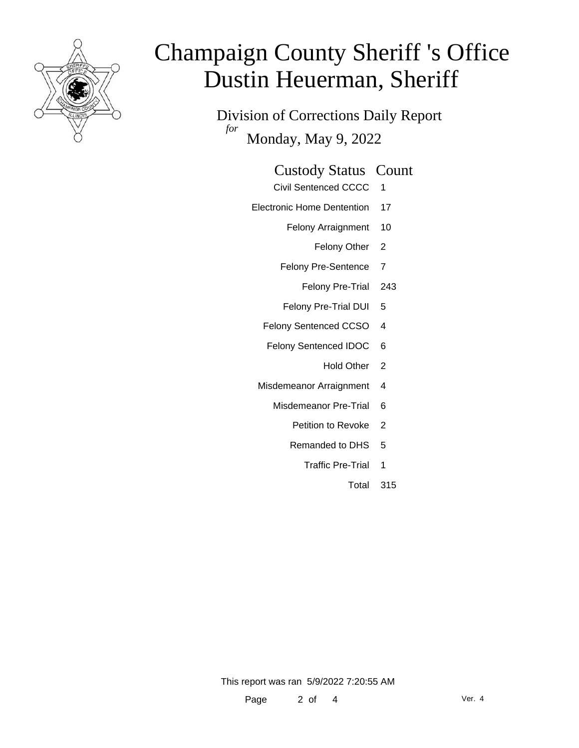

Division of Corrections Daily Report *for* Monday, May 9, 2022

| <b>Custody Status Count</b> |  |
|-----------------------------|--|
|                             |  |

- Civil Sentenced CCCC 1
- Electronic Home Dentention 17
	- Felony Arraignment 10
		- Felony Other 2
	- Felony Pre-Sentence 7
		- Felony Pre-Trial 243
	- Felony Pre-Trial DUI 5
	- Felony Sentenced CCSO 4
	- Felony Sentenced IDOC 6
		- Hold Other 2
	- Misdemeanor Arraignment 4
		- Misdemeanor Pre-Trial 6
			- Petition to Revoke 2
			- Remanded to DHS 5
				- Traffic Pre-Trial 1
					- Total 315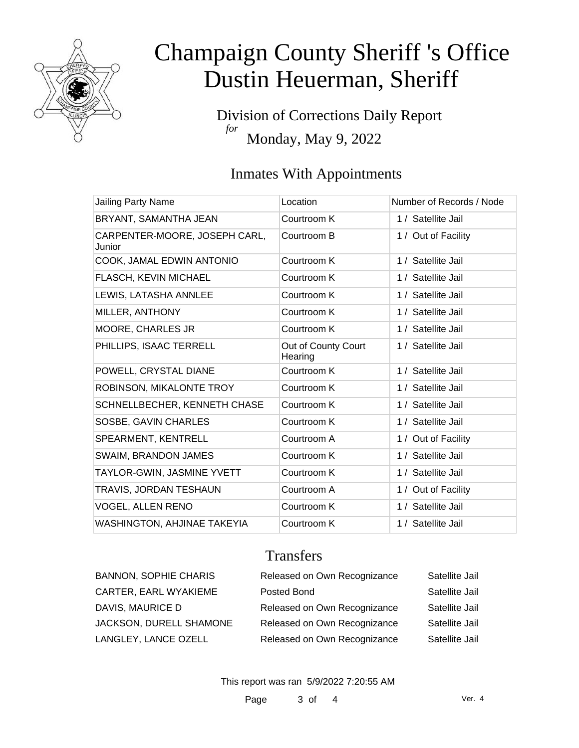

Division of Corrections Daily Report *for* Monday, May 9, 2022

## Inmates With Appointments

| Jailing Party Name                      | Location                       | Number of Records / Node |
|-----------------------------------------|--------------------------------|--------------------------|
| BRYANT, SAMANTHA JEAN                   | Courtroom K                    | 1 / Satellite Jail       |
| CARPENTER-MOORE, JOSEPH CARL,<br>Junior | Courtroom B                    | 1 / Out of Facility      |
| COOK, JAMAL EDWIN ANTONIO               | Courtroom K                    | 1 / Satellite Jail       |
| FLASCH, KEVIN MICHAEL                   | Courtroom K                    | 1 / Satellite Jail       |
| LEWIS, LATASHA ANNLEE                   | Courtroom K                    | 1 / Satellite Jail       |
| MILLER, ANTHONY                         | Courtroom K                    | 1 / Satellite Jail       |
| <b>MOORE, CHARLES JR</b>                | Courtroom K                    | 1 / Satellite Jail       |
| PHILLIPS, ISAAC TERRELL                 | Out of County Court<br>Hearing | 1 / Satellite Jail       |
| POWELL, CRYSTAL DIANE                   | Courtroom K                    | 1 / Satellite Jail       |
| ROBINSON, MIKALONTE TROY                | Courtroom K                    | 1 / Satellite Jail       |
| SCHNELLBECHER, KENNETH CHASE            | Courtroom K                    | 1 / Satellite Jail       |
| SOSBE, GAVIN CHARLES                    | Courtroom K                    | 1 / Satellite Jail       |
| SPEARMENT, KENTRELL                     | Courtroom A                    | 1 / Out of Facility      |
| <b>SWAIM, BRANDON JAMES</b>             | Courtroom K                    | 1 / Satellite Jail       |
| TAYLOR-GWIN, JASMINE YVETT              | Courtroom K                    | 1 / Satellite Jail       |
| TRAVIS, JORDAN TESHAUN                  | Courtroom A                    | 1 / Out of Facility      |
| <b>VOGEL, ALLEN RENO</b>                | Courtroom K                    | 1 / Satellite Jail       |
| <b>WASHINGTON, AHJINAE TAKEYIA</b>      | Courtroom K                    | 1 / Satellite Jail       |

## **Transfers**

| <b>BANNON, SOPHIE CHARIS</b> | Released on Own Recognizance | Satellite Jail |
|------------------------------|------------------------------|----------------|
| CARTER, EARL WYAKIEME        | Posted Bond                  | Satellite Jail |
| DAVIS, MAURICE D             | Released on Own Recognizance | Satellite Jail |
| JACKSON, DURELL SHAMONE      | Released on Own Recognizance | Satellite Jail |
| LANGLEY, LANCE OZELL         | Released on Own Recognizance | Satellite Jail |